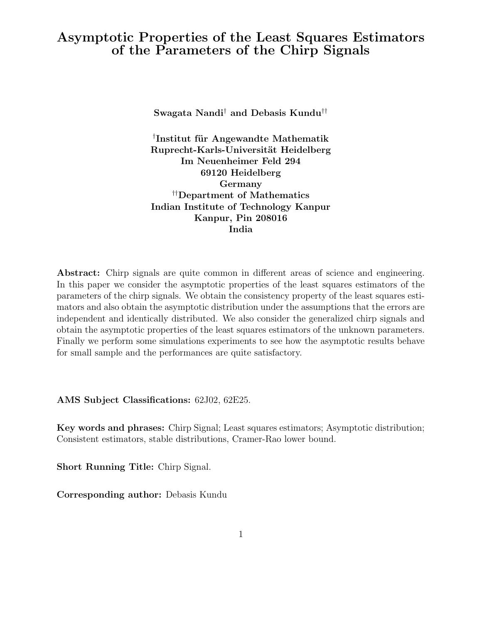# Asymptotic Properties of the Least Squares Estimators of the Parameters of the Chirp Signals

Swagata Nandi† and Debasis Kundu††

 $^\dagger$ Institut für Angewandte Mathematik Ruprecht-Karls-Universität Heidelberg Im Neuenheimer Feld 294 69120 Heidelberg Germany ††Department of Mathematics Indian Institute of Technology Kanpur Kanpur, Pin 208016 India

Abstract: Chirp signals are quite common in different areas of science and engineering. In this paper we consider the asymptotic properties of the least squares estimators of the parameters of the chirp signals. We obtain the consistency property of the least squares estimators and also obtain the asymptotic distribution under the assumptions that the errors are independent and identically distributed. We also consider the generalized chirp signals and obtain the asymptotic properties of the least squares estimators of the unknown parameters. Finally we perform some simulations experiments to see how the asymptotic results behave for small sample and the performances are quite satisfactory.

AMS Subject Classifications: 62J02, 62E25.

Key words and phrases: Chirp Signal; Least squares estimators; Asymptotic distribution; Consistent estimators, stable distributions, Cramer-Rao lower bound.

Short Running Title: Chirp Signal.

Corresponding author: Debasis Kundu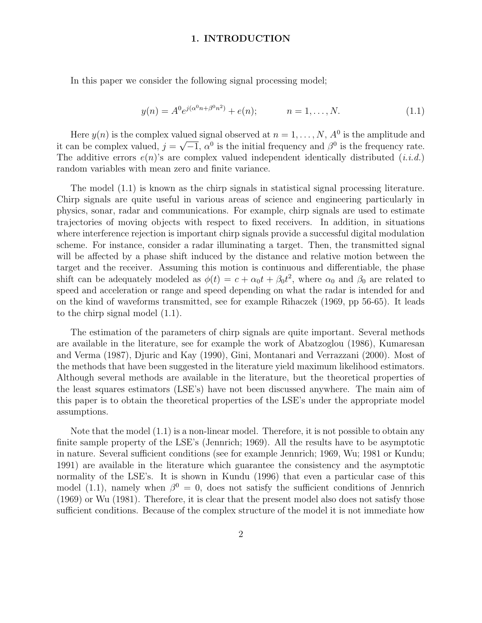### 1. INTRODUCTION

In this paper we consider the following signal processing model;

$$
y(n) = A^0 e^{j(\alpha^0 n + \beta^0 n^2)} + e(n); \qquad n = 1, ..., N.
$$
 (1.1)

Here  $y(n)$  is the complex valued signal observed at  $n = 1, ..., N$ ,  $A^0$  is the amplitude and it can be complex valued,  $j = \sqrt{-1}$ ,  $\alpha^0$  is the initial frequency and  $\beta^0$  is the frequency rate. The additive errors  $e(n)$ 's are complex valued independent identically distributed  $(i.i.d.)$ random variables with mean zero and finite variance.

The model (1.1) is known as the chirp signals in statistical signal processing literature. Chirp signals are quite useful in various areas of science and engineering particularly in physics, sonar, radar and communications. For example, chirp signals are used to estimate trajectories of moving objects with respect to fixed receivers. In addition, in situations where interference rejection is important chirp signals provide a successful digital modulation scheme. For instance, consider a radar illuminating a target. Then, the transmitted signal will be affected by a phase shift induced by the distance and relative motion between the target and the receiver. Assuming this motion is continuous and differentiable, the phase shift can be adequately modeled as  $\phi(t) = c + \alpha_0 t + \beta_0 t^2$ , where  $\alpha_0$  and  $\beta_0$  are related to speed and acceleration or range and speed depending on what the radar is intended for and on the kind of waveforms transmitted, see for example Rihaczek (1969, pp 56-65). It leads to the chirp signal model (1.1).

The estimation of the parameters of chirp signals are quite important. Several methods are available in the literature, see for example the work of Abatzoglou (1986), Kumaresan and Verma (1987), Djuric and Kay (1990), Gini, Montanari and Verrazzani (2000). Most of the methods that have been suggested in the literature yield maximum likelihood estimators. Although several methods are available in the literature, but the theoretical properties of the least squares estimators (LSE's) have not been discussed anywhere. The main aim of this paper is to obtain the theoretical properties of the LSE's under the appropriate model assumptions.

Note that the model (1.1) is a non-linear model. Therefore, it is not possible to obtain any finite sample property of the LSE's (Jennrich; 1969). All the results have to be asymptotic in nature. Several sufficient conditions (see for example Jennrich; 1969, Wu; 1981 or Kundu; 1991) are available in the literature which guarantee the consistency and the asymptotic normality of the LSE's. It is shown in Kundu (1996) that even a particular case of this model (1.1), namely when  $\beta^0 = 0$ , does not satisfy the sufficient conditions of Jennrich (1969) or Wu (1981). Therefore, it is clear that the present model also does not satisfy those sufficient conditions. Because of the complex structure of the model it is not immediate how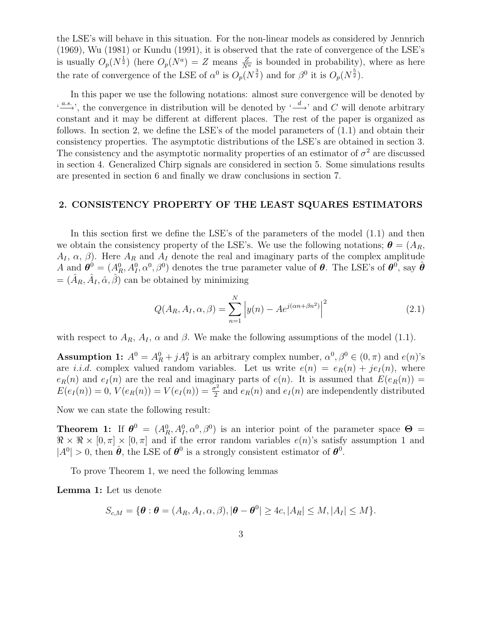the LSE's will behave in this situation. For the non-linear models as considered by Jennrich (1969), Wu (1981) or Kundu (1991), it is observed that the rate of convergence of the LSE's is usually  $O_p(N^{\frac{1}{2}})$  (here  $O_p(N^a) = Z$  means  $\frac{Z}{N^a}$  is bounded in probability), where as here the rate of convergence of the LSE of  $\alpha^0$  is  $O_p(N^{\frac{3}{2}})$  and for  $\beta^0$  it is  $O_p(N^{\frac{5}{2}})$ .

In this paper we use the following notations: almost sure convergence will be denoted by  $\stackrel{(a.s.)}{\longrightarrow}$ , the convergence in distribution will be denoted by  $\stackrel{(d)}{\longrightarrow}$  and C will denote arbitrary constant and it may be different at different places. The rest of the paper is organized as follows. In section 2, we define the LSE's of the model parameters of (1.1) and obtain their consistency properties. The asymptotic distributions of the LSE's are obtained in section 3. The consistency and the asymptotic normality properties of an estimator of  $\sigma^2$  are discussed in section 4. Generalized Chirp signals are considered in section 5. Some simulations results are presented in section 6 and finally we draw conclusions in section 7.

## 2. CONSISTENCY PROPERTY OF THE LEAST SQUARES ESTIMATORS

In this section first we define the LSE's of the parameters of the model  $(1.1)$  and then we obtain the consistency property of the LSE's. We use the following notations;  $\theta = (A_R,$  $A_I$ ,  $\alpha$ ,  $\beta$ ). Here  $A_R$  and  $A_I$  denote the real and imaginary parts of the complex amplitude A and  $\boldsymbol{\theta}^0 = (A_R^0, A_I^0, \alpha^0, \beta^0)$  denotes the true parameter value of  $\boldsymbol{\theta}$ . The LSE's of  $\boldsymbol{\theta}^0$ , say  $\hat{\boldsymbol{\theta}}$  $=(\hat{A}_R, \hat{A}_I, \hat{\alpha}, \hat{\beta})$  can be obtained by minimizing

$$
Q(A_R, A_I, \alpha, \beta) = \sum_{n=1}^{N} |y(n) - Ae^{j(\alpha n + \beta n^2)}|^{2}
$$
 (2.1)

with respect to  $A_R$ ,  $A_I$ ,  $\alpha$  and  $\beta$ . We make the following assumptions of the model (1.1).

**Assumption 1:**  $A^0 = A^0 + jA^0$  is an arbitrary complex number,  $\alpha^0, \beta^0 \in (0, \pi)$  and  $e(n)$ 's are *i.i.d.* complex valued random variables. Let us write  $e(n) = e_R(n) + je_I(n)$ , where  $e_R(n)$  and  $e_I(n)$  are the real and imaginary parts of  $e(n)$ . It is assumed that  $E(e_R(n)) =$  $E(e_I(n)) = 0, V(e_R(n)) = V(e_I(n)) = \frac{\sigma^2}{2}$  $\frac{p^2}{2}$  and  $e_R(n)$  and  $e_I(n)$  are independently distributed

Now we can state the following result:

**Theorem 1:** If  $\boldsymbol{\theta}^0 = (A_R^0, A_I^0, \alpha^0, \beta^0)$  is an interior point of the parameter space  $\boldsymbol{\Theta} =$  $\Re \times \Re \times [0, \pi] \times [0, \pi]$  and if the error random variables  $e(n)$ 's satisfy assumption 1 and  $|A^0| > 0$ , then  $\hat{\theta}$ , the LSE of  $\theta^0$  is a strongly consistent estimator of  $\theta^0$ .

To prove Theorem 1, we need the following lemmas

Lemma 1: Let us denote

$$
S_{c,M} = \{ \boldsymbol{\theta} : \boldsymbol{\theta} = (A_R, A_I, \alpha, \beta), |\boldsymbol{\theta} - \boldsymbol{\theta}^0| \geq 4c, |A_R| \leq M, |A_I| \leq M \}.
$$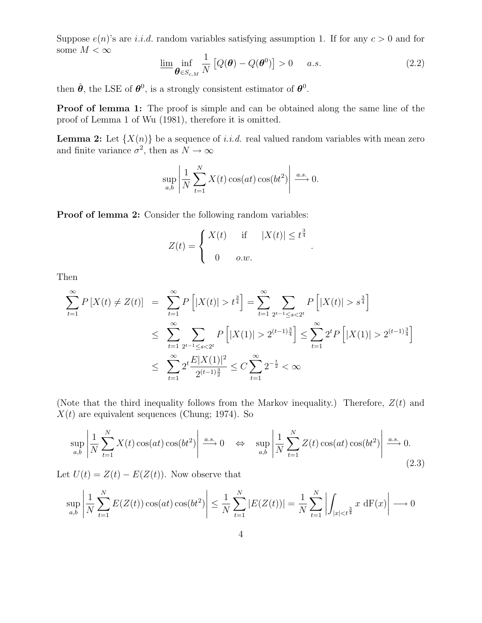Suppose  $e(n)$ 's are *i.i.d.* random variables satisfying assumption 1. If for any  $c > 0$  and for some  $M<\infty$ 

$$
\underline{\lim}_{\theta \in S_{c,M}} \frac{1}{N} \left[ Q(\theta) - Q(\theta^0) \right] > 0 \quad a.s. \tag{2.2}
$$

.

then  $\hat{\boldsymbol{\theta}}$ , the LSE of  $\boldsymbol{\theta}^0$ , is a strongly consistent estimator of  $\boldsymbol{\theta}^0$ .

Proof of lemma 1: The proof is simple and can be obtained along the same line of the proof of Lemma 1 of Wu (1981), therefore it is omitted.

**Lemma 2:** Let  $\{X(n)\}\$ be a sequence of *i.i.d.* real valued random variables with mean zero and finite variance  $\sigma^2$ , then as  $N \to \infty$ 

$$
\sup_{a,b} \left| \frac{1}{N} \sum_{t=1}^{N} X(t) \cos(at) \cos(bt^2) \right| \xrightarrow{a.s.} 0.
$$

Proof of lemma 2: Consider the following random variables:

$$
Z(t) = \begin{cases} X(t) & \text{if } |X(t)| \leq t^{\frac{3}{4}} \\ 0 & o.w. \end{cases}
$$

Then

$$
\sum_{t=1}^{\infty} P\left[X(t) \neq Z(t)\right] = \sum_{t=1}^{\infty} P\left[|X(t)| > t^{\frac{3}{4}}\right] = \sum_{t=1}^{\infty} \sum_{2^{t-1} \leq s < 2^t} P\left[|X(t)| > s^{\frac{3}{4}}\right]
$$
\n
$$
\leq \sum_{t=1}^{\infty} \sum_{2^{t-1} \leq s < 2^t} P\left[|X(1)| > 2^{(t-1)\frac{3}{4}}\right] \leq \sum_{t=1}^{\infty} 2^t P\left[|X(1)| > 2^{(t-1)\frac{3}{4}}\right]
$$
\n
$$
\leq \sum_{t=1}^{\infty} 2^t \frac{E|X(1)|^2}{2^{(t-1)\frac{3}{2}}} \leq C \sum_{t=1}^{\infty} 2^{-\frac{t}{2}} < \infty
$$

(Note that the third inequality follows from the Markov inequality.) Therefore,  $Z(t)$  and  $X(t)$  are equivalent sequences (Chung; 1974). So

$$
\sup_{a,b} \left| \frac{1}{N} \sum_{t=1}^{N} X(t) \cos(at) \cos(bt^2) \right| \xrightarrow{a.s.} 0 \quad \Leftrightarrow \quad \sup_{a,b} \left| \frac{1}{N} \sum_{t=1}^{N} Z(t) \cos(at) \cos(bt^2) \right| \xrightarrow{a.s.} 0.
$$
\n(2.3)

Let  $U(t) = Z(t) - E(Z(t))$ . Now observe that

$$
\sup_{a,b} \left| \frac{1}{N} \sum_{t=1}^{N} E(Z(t)) \cos(at) \cos(bt^2) \right| \le \frac{1}{N} \sum_{t=1}^{N} |E(Z(t))| = \frac{1}{N} \sum_{t=1}^{N} \left| \int_{|x| < t^{\frac{3}{4}}} x \, dF(x) \right| \longrightarrow 0
$$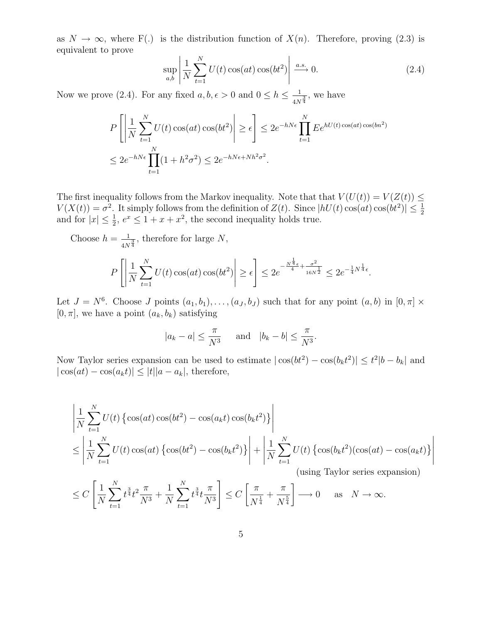as  $N \to \infty$ , where F(.) is the distribution function of  $X(n)$ . Therefore, proving (2.3) is equivalent to prove

$$
\sup_{a,b} \left| \frac{1}{N} \sum_{t=1}^{N} U(t) \cos(at) \cos(bt^2) \right| \xrightarrow{a.s.} 0.
$$
 (2.4)

.

Now we prove (2.4). For any fixed  $a, b, \epsilon > 0$  and  $0 \le h \le \frac{1}{4N}$  $\frac{1}{4N^{\frac{3}{4}}}$ , we have

$$
P\left[\left|\frac{1}{N}\sum_{t=1}^{N}U(t)\cos(at)\cos(bt^2)\right|\geq \epsilon\right] \leq 2e^{-hN\epsilon}\prod_{t=1}^{N}Ee^{hU(t)\cos(at)\cos(bn^2)}
$$
  

$$
\leq 2e^{-hN\epsilon}\prod_{t=1}^{N}(1+h^2\sigma^2) \leq 2e^{-hN\epsilon+Nh^2\sigma^2}.
$$

The first inequality follows from the Markov inequality. Note that that  $V(U(t)) = V(Z(t)) \leq$  $V(X(t)) = \sigma^2$ . It simply follows from the definition of  $Z(t)$ . Since  $|hU(t)\cos(at)\cos(bt^2)| \leq \frac{1}{2}$ and for  $|x| \leq \frac{1}{2}$ ,  $e^x \leq 1 + x + x^2$ , the second inequality holds true.  $\frac{1}{2}$ ,  $e^x \le 1 + x + x^2$ , the second inequality holds true.

Choose  $h = \frac{1}{11}$  $\frac{1}{4N^{\frac{3}{4}}}$ , therefore for large N,

$$
P\left[\left|\frac{1}{N}\sum_{t=1}^{N}U(t)\cos(at)\cos(bt^2)\right| \ge \epsilon\right] \le 2e^{-\frac{N^{\frac{1}{4}}\epsilon}{4} + \frac{\sigma^2}{16N^{\frac{1}{2}}}} \le 2e^{-\frac{1}{4}N^{\frac{1}{4}}\epsilon}
$$

Let  $J = N^6$ . Choose J points  $(a_1, b_1), \ldots, (a_J, b_J)$  such that for any point  $(a, b)$  in  $[0, \pi] \times$  $[0, \pi]$ , we have a point  $(a_k, b_k)$  satisfying

$$
|a_k - a| \le \frac{\pi}{N^3}
$$
 and  $|b_k - b| \le \frac{\pi}{N^3}$ .

Now Taylor series expansion can be used to estimate  $|\cos(bt^2) - \cos(b_k t^2)| \leq t^2 |b - b_k|$  and  $|\cos(at) - \cos(a_k t)| \leq |t||a - a_k|$ , therefore,

$$
\left| \frac{1}{N} \sum_{t=1}^{N} U(t) \left\{ \cos(at) \cos(bt^2) - \cos(a_k t) \cos(b_k t^2) \right\} \right|
$$
  
\n
$$
\leq \left| \frac{1}{N} \sum_{t=1}^{N} U(t) \cos(at) \left\{ \cos(bt^2) - \cos(b_k t^2) \right\} \right| + \left| \frac{1}{N} \sum_{t=1}^{N} U(t) \left\{ \cos(b_k t^2) (\cos(at) - \cos(a_k t)) \right\} \right|
$$
  
\n(sing Taylor series expansion)

$$
\leq C\left[\frac{1}{N}\sum_{t=1}^{N}t^{\frac{3}{4}}t^{2}\frac{\pi}{N^{3}}+\frac{1}{N}\sum_{t=1}^{N}t^{\frac{3}{4}}t\frac{\pi}{N^{3}}\right]\leq C\left[\frac{\pi}{N^{\frac{1}{4}}}+\frac{\pi}{N^{\frac{5}{4}}}\right]\longrightarrow 0 \quad \text{as} \quad N\to\infty.
$$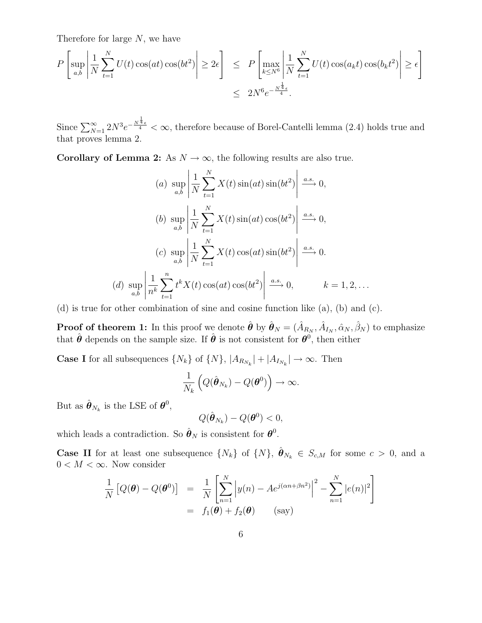Therefore for large N, we have

$$
P\left[\sup_{a,b} \left| \frac{1}{N} \sum_{t=1}^{N} U(t) \cos(at) \cos(bt^2) \right| \ge 2\epsilon \right] \le P\left[\max_{k \le N^6} \left| \frac{1}{N} \sum_{t=1}^{N} U(t) \cos(a_k t) \cos(b_k t^2) \right| \ge \epsilon \right]
$$
  

$$
\le 2N^6 e^{-\frac{N^{\frac{1}{4}} \epsilon}{4}}.
$$

Since  $\sum_{N=1}^{\infty} 2N^3 e^{-\frac{N^{\frac{1}{4}}\epsilon}{4}} < \infty$ , therefore because of Borel-Cantelli lemma (2.4) holds true and that proves lemma 2.

Corollary of Lemma 2: As  $N \to \infty$ , the following results are also true.

(a) 
$$
\sup_{a,b} \left| \frac{1}{N} \sum_{t=1}^{N} X(t) \sin(at) \sin(bt^2) \right| \xrightarrow{a.s.} 0,
$$
  
\n(b)  $\sup_{a,b} \left| \frac{1}{N} \sum_{t=1}^{N} X(t) \sin(at) \cos(bt^2) \right| \xrightarrow{a.s.} 0,$   
\n(c)  $\sup_{a,b} \left| \frac{1}{N} \sum_{t=1}^{N} X(t) \cos(at) \sin(bt^2) \right| \xrightarrow{a.s.} 0.$   
\n(d)  $\sup_{a,b} \left| \frac{1}{n^k} \sum_{t=1}^{n} t^k X(t) \cos(at) \cos(bt^2) \right| \xrightarrow{a.s.} 0, \qquad k = 1, 2, ...$ 

(d) is true for other combination of sine and cosine function like (a), (b) and (c).

**Proof of theorem 1:** In this proof we denote  $\hat{\bm{\theta}}$  by  $\hat{\bm{\theta}}_N = (\hat{A}_{R_N}, \hat{A}_{I_N}, \hat{\alpha}_N, \hat{\beta}_N)$  to emphasize that  $\hat{\boldsymbol{\theta}}$  depends on the sample size. If  $\hat{\boldsymbol{\theta}}$  is not consistent for  $\boldsymbol{\theta}^0$ , then either

**Case I** for all subsequences  $\{N_k\}$  of  $\{N\}$ ,  $|A_{R_{N_k}}| + |A_{I_{N_k}}| \to \infty$ . Then

$$
\frac{1}{N_k} \left( Q(\hat{\boldsymbol{\theta}}_{N_k}) - Q(\boldsymbol{\theta}^0) \right) \to \infty.
$$

But as  $\hat{\boldsymbol{\theta}}_{N_k}$  is the LSE of  $\boldsymbol{\theta}^0$ ,

$$
Q(\hat{\boldsymbol{\theta}}_{N_k}) - Q(\boldsymbol{\theta}^0) < 0,
$$

which leads a contradiction. So  $\hat{\theta}_N$  is consistent for  $\theta^0$ .

**Case II** for at least one subsequence  $\{N_k\}$  of  $\{N\}$ ,  $\hat{\boldsymbol{\theta}}_{N_k} \in S_{c,M}$  for some  $c > 0$ , and a  $0 < M < \infty$ . Now consider

$$
\frac{1}{N} [Q(\boldsymbol{\theta}) - Q(\boldsymbol{\theta}^0)] = \frac{1}{N} \left[ \sum_{n=1}^N \left| y(n) - Ae^{j(\alpha n + \beta n^2)} \right|^2 - \sum_{n=1}^N |e(n)|^2 \right]
$$

$$
= f_1(\boldsymbol{\theta}) + f_2(\boldsymbol{\theta}) \qquad \text{(say)}
$$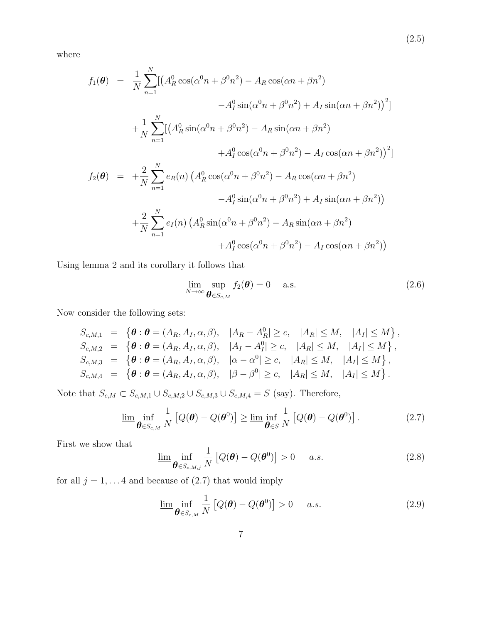where

$$
f_1(\theta) = \frac{1}{N} \sum_{n=1}^{N} [(A_R^0 \cos(\alpha^0 n + \beta^0 n^2) - A_R \cos(\alpha n + \beta n^2) - A_I^0 \sin(\alpha^0 n + \beta^0 n^2) + A_I \sin(\alpha n + \beta n^2))^2]
$$
  
+ 
$$
\frac{1}{N} \sum_{n=1}^{N} [(A_R^0 \sin(\alpha^0 n + \beta^0 n^2) - A_R \sin(\alpha n + \beta n^2) + A_I^0 \cos(\alpha^0 n + \beta^0 n^2) - A_I \cos(\alpha n + \beta n^2))^2]
$$
  

$$
f_2(\theta) = + \frac{2}{N} \sum_{n=1}^{N} e_R(n) (A_R^0 \cos(\alpha^0 n + \beta^0 n^2) - A_R \cos(\alpha n + \beta n^2) - A_I^0 \sin(\alpha^0 n + \beta^0 n^2) + A_I \sin(\alpha n + \beta n^2))
$$
  
+ 
$$
\frac{2}{N} \sum_{n=1}^{N} e_I(n) (A_R^0 \sin(\alpha^0 n + \beta^0 n^2) - A_R \sin(\alpha n + \beta n^2) + A_I^0 \cos(\alpha^0 n + \beta^0 n^2) - A_I \cos(\alpha n + \beta n^2))
$$

Using lemma 2 and its corollary it follows that

$$
\lim_{N \to \infty} \sup_{\boldsymbol{\theta} \in S_{c,M}} f_2(\boldsymbol{\theta}) = 0 \quad \text{a.s.} \tag{2.6}
$$

Now consider the following sets:

$$
S_{c,M,1} = \{ \theta : \theta = (A_R, A_I, \alpha, \beta), |A_R - A_R^0| \ge c, |A_R| \le M, |A_I| \le M \},
$$
  
\n
$$
S_{c,M,2} = \{ \theta : \theta = (A_R, A_I, \alpha, \beta), |A_I - A_I^0| \ge c, |A_R| \le M, |A_I| \le M \},
$$
  
\n
$$
S_{c,M,3} = \{ \theta : \theta = (A_R, A_I, \alpha, \beta), | \alpha - \alpha^0| \ge c, |A_R| \le M, |A_I| \le M \},
$$
  
\n
$$
S_{c,M,4} = \{ \theta : \theta = (A_R, A_I, \alpha, \beta), | \beta - \beta^0| \ge c, |A_R| \le M, |A_I| \le M \}.
$$

Note that  $S_{c,M} \subset S_{c,M,1} \cup S_{c,M,2} \cup S_{c,M,3} \cup S_{c,M,4} = S$  (say). Therefore,

$$
\underline{\lim}_{\theta \in S_{c,M}} \frac{1}{N} \left[ Q(\theta) - Q(\theta^0) \right] \ge \underline{\lim}_{\theta \in S} \frac{1}{N} \left[ Q(\theta) - Q(\theta^0) \right]. \tag{2.7}
$$

First we show that

$$
\underline{\lim}_{\theta \in S_{c,M,j}} \frac{1}{N} \left[ Q(\theta) - Q(\theta^0) \right] > 0 \quad a.s.
$$
\n(2.8)

for all  $j = 1, \ldots 4$  and because of  $(2.7)$  that would imply

$$
\underline{\lim}_{\theta \in S_{c,M}} \frac{1}{N} \left[ Q(\theta) - Q(\theta^0) \right] > 0 \quad a.s. \tag{2.9}
$$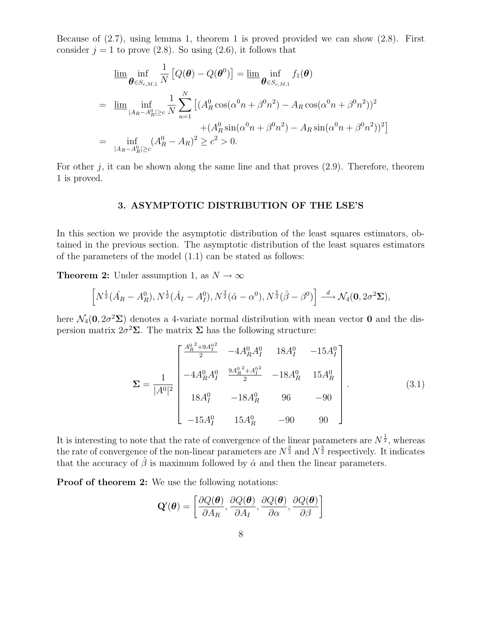Because of (2.7), using lemma 1, theorem 1 is proved provided we can show (2.8). First consider  $j = 1$  to prove (2.8). So using (2.6), it follows that

$$
\lim_{\theta \in S_{c,M,1}} \inf_{N} \frac{1}{N} \left[ Q(\theta) - Q(\theta^{0}) \right] = \lim_{\theta \in S_{c,M,1}} f_{1}(\theta)
$$
\n
$$
= \lim_{\substack{\|A_{R} - A_{R}^{0}\| \ge c}} \inf_{N} \sum_{n=1}^{N} \left[ (A_{R}^{0} \cos(\alpha^{0} n + \beta^{0} n^{2}) - A_{R} \cos(\alpha^{0} n + \beta^{0} n^{2}))^{2} + (A_{R}^{0} \sin(\alpha^{0} n + \beta^{0} n^{2}) - A_{R} \sin(\alpha^{0} n + \beta^{0} n^{2}))^{2} \right]
$$
\n
$$
= \inf_{\|A_{R} - A_{R}^{0}\| \ge c} (A_{R}^{0} - A_{R})^{2} \ge c^{2} > 0.
$$

For other  $j$ , it can be shown along the same line and that proves  $(2.9)$ . Therefore, theorem 1 is proved.

### 3. ASYMPTOTIC DISTRIBUTION OF THE LSE'S

In this section we provide the asymptotic distribution of the least squares estimators, obtained in the previous section. The asymptotic distribution of the least squares estimators of the parameters of the model (1.1) can be stated as follows:

**Theorem 2:** Under assumption 1, as  $N \to \infty$ 

$$
\[N^{\frac{1}{2}}(\hat{A}_R - A_R^0), N^{\frac{1}{2}}(\hat{A}_I - A_I^0), N^{\frac{3}{2}}(\hat{\alpha} - \alpha^0), N^{\frac{5}{2}}(\hat{\beta} - \beta^0)\] \stackrel{d}{\longrightarrow} \mathcal{N}_4(\mathbf{0}, 2\sigma^2 \Sigma),\]
$$

here  $\mathcal{N}_4(\mathbf{0}, 2\sigma^2 \Sigma)$  denotes a 4-variate normal distribution with mean vector **0** and the dispersion matrix  $2\sigma^2\Sigma$ . The matrix  $\Sigma$  has the following structure:

$$
\Sigma = \frac{1}{|A^0|^2} \begin{bmatrix} \frac{A_R^0{}^2 + 9A_I^0{}^2}{2} & -4A_R^0 A_I^0 & 18A_I^0 & -15A_I^0\\ -4A_R^0 A_I^0 & \frac{9A_R^0{}^2 + A_I^0{}^2}{2} & -18A_R^0 & 15A_R^0\\ 18A_I^0 & -18A_R^0 & 96 & -90\\ -15A_I^0 & 15A_R^0 & -90 & 90 \end{bmatrix} . \tag{3.1}
$$

It is interesting to note that the rate of convergence of the linear parameters are  $N^{\frac{1}{2}}$ , whereas the rate of convergence of the non-linear parameters are  $N^{\frac{3}{2}}$  and  $N^{\frac{5}{2}}$  respectively. It indicates that the accuracy of  $\hat{\beta}$  is maximum followed by  $\hat{\alpha}$  and then the linear parameters.

Proof of theorem 2: We use the following notations:

$$
\mathbf{Q}'(\boldsymbol{\theta}) = \left[ \frac{\partial Q(\boldsymbol{\theta})}{\partial A_R}, \frac{\partial Q(\boldsymbol{\theta})}{\partial A_I}, \frac{\partial Q(\boldsymbol{\theta})}{\partial \alpha}, \frac{\partial Q(\boldsymbol{\theta})}{\partial \beta} \right]
$$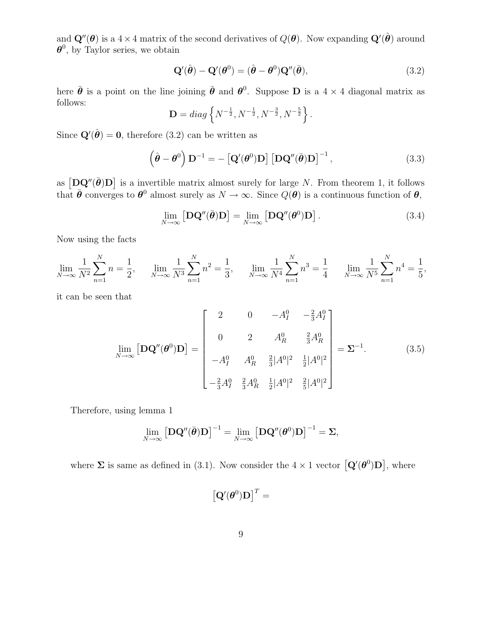and  $\mathbf{Q}''(\boldsymbol{\theta})$  is a  $4 \times 4$  matrix of the second derivatives of  $Q(\boldsymbol{\theta})$ . Now expanding  $\mathbf{Q}'(\hat{\boldsymbol{\theta}})$  around  $\boldsymbol{\theta}^0$ , by Taylor series, we obtain

$$
\mathbf{Q}'(\hat{\boldsymbol{\theta}}) - \mathbf{Q}'(\boldsymbol{\theta}^0) = (\hat{\boldsymbol{\theta}} - \boldsymbol{\theta}^0)\mathbf{Q}''(\bar{\boldsymbol{\theta}}),\tag{3.2}
$$

here  $\bar{\theta}$  is a point on the line joining  $\bar{\theta}$  and  $\theta^0$ . Suppose **D** is a 4 × 4 diagonal matrix as follows:

$$
\mathbf{D} = diag\left\{N^{-\frac{1}{2}}, N^{-\frac{1}{2}}, N^{-\frac{3}{2}}, N^{-\frac{5}{2}}\right\}.
$$

Since  $\mathbf{Q}'(\hat{\boldsymbol{\theta}}) = \mathbf{0}$ , therefore (3.2) can be written as

$$
\left(\hat{\boldsymbol{\theta}} - \boldsymbol{\theta}^{0}\right) \mathbf{D}^{-1} = -\left[\mathbf{Q}'(\boldsymbol{\theta}^{0})\mathbf{D}\right] \left[\mathbf{D}\mathbf{Q}''(\bar{\boldsymbol{\theta}})\mathbf{D}\right]^{-1},\tag{3.3}
$$

as  $[D\mathbf{Q}''(\bar{\boldsymbol{\theta}})\mathbf{D}]$  is a invertible matrix almost surely for large N. From theorem 1, it follows that  $\bar{\theta}$  converges to  $\theta^0$  almost surely as  $N \to \infty$ . Since  $Q(\theta)$  is a continuous function of  $\theta$ ,

$$
\lim_{N \to \infty} \left[ \mathbf{D} \mathbf{Q}''(\bar{\boldsymbol{\theta}}) \mathbf{D} \right] = \lim_{N \to \infty} \left[ \mathbf{D} \mathbf{Q}''(\boldsymbol{\theta}^0) \mathbf{D} \right]. \tag{3.4}
$$

Now using the facts

$$
\lim_{N \to \infty} \frac{1}{N^2} \sum_{n=1}^{N} n = \frac{1}{2}, \quad \lim_{N \to \infty} \frac{1}{N^3} \sum_{n=1}^{N} n^2 = \frac{1}{3}, \quad \lim_{N \to \infty} \frac{1}{N^4} \sum_{n=1}^{N} n^3 = \frac{1}{4} \quad \lim_{N \to \infty} \frac{1}{N^5} \sum_{n=1}^{N} n^4 = \frac{1}{5},
$$

it can be seen that

$$
\lim_{N \to \infty} \left[ \mathbf{D} \mathbf{Q}''(\boldsymbol{\theta}^0) \mathbf{D} \right] = \begin{bmatrix} 2 & 0 & -A_I^0 & -\frac{2}{3} A_I^0 \\ 0 & 2 & A_R^0 & \frac{2}{3} A_R^0 \\ -A_I^0 & A_R^0 & \frac{2}{3} |A^0|^2 & \frac{1}{2} |A^0|^2 \\ -\frac{2}{3} A_I^0 & \frac{2}{3} A_R^0 & \frac{1}{2} |A^0|^2 & \frac{2}{5} |A^0|^2 \end{bmatrix} = \Sigma^{-1}.
$$
 (3.5)

Therefore, using lemma 1

$$
\lim_{N\to\infty} \left[\mathbf{D}\mathbf{Q}''(\bar{\boldsymbol{\theta}})\mathbf{D}\right]^{-1} = \lim_{N\to\infty} \left[\mathbf{D}\mathbf{Q}''(\boldsymbol{\theta}^0)\mathbf{D}\right]^{-1} = \boldsymbol{\Sigma},
$$

where  $\Sigma$  is same as defined in (3.1). Now consider the  $4 \times 1$  vector  $\left[{\bf Q}'(\boldsymbol{\theta}^0){\bf D}\right]$ , where

$$
\left[{\bf Q}^{\prime}(\boldsymbol{\theta}^{0}){\bf D}\right]^{T}=
$$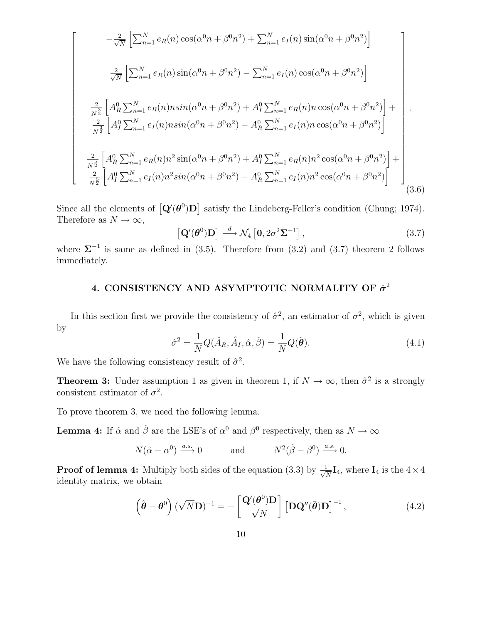$$
\begin{bmatrix}\n-\frac{2}{\sqrt{N}}\left[\sum_{n=1}^{N}e_{R}(n)\cos(\alpha^{0}n+\beta^{0}n^{2})+\sum_{n=1}^{N}e_{I}(n)\sin(\alpha^{0}n+\beta^{0}n^{2})\right] \\
\frac{2}{\sqrt{N}}\left[\sum_{n=1}^{N}e_{R}(n)\sin(\alpha^{0}n+\beta^{0}n^{2})-\sum_{n=1}^{N}e_{I}(n)\cos(\alpha^{0}n+\beta^{0}n^{2})\right] \\
\frac{2}{N^{2}}\left[A_{R}^{0}\sum_{n=1}^{N}e_{R}(n)nsin(\alpha^{0}n+\beta^{0}n^{2})+A_{I}^{0}\sum_{n=1}^{N}e_{R}(n)n\cos(\alpha^{0}n+\beta^{0}n^{2})\right]+\n\frac{2}{N^{2}}\left[A_{I}^{0}\sum_{n=1}^{N}e_{I}(n)nsin(\alpha^{0}n+\beta^{0}n^{2})-A_{R}^{0}\sum_{n=1}^{N}e_{I}(n)n\cos(\alpha^{0}n+\beta^{0}n^{2})\right]\n\frac{2}{N^{2}}\left[A_{R}^{0}\sum_{n=1}^{N}e_{R}(n)n^{2}\sin(\alpha^{0}n+\beta^{0}n^{2})+A_{I}^{0}\sum_{n=1}^{N}e_{R}(n)n^{2}\cos(\alpha^{0}n+\beta^{0}n^{2})\right]+\n\frac{2}{N^{2}}\left[A_{I}^{0}\sum_{n=1}^{N}e_{I}(n)n^{2}\sin(\alpha^{0}n+\beta^{0}n^{2})-A_{R}^{0}\sum_{n=1}^{N}e_{I}(n)n^{2}\cos(\alpha^{0}n+\beta^{0}n^{2})\right]\n\end{bmatrix}
$$
\n(3.6)

Since all the elements of  $\left[\mathbf{Q}'(\boldsymbol{\theta}^0)\mathbf{D}\right]$  satisfy the Lindeberg-Feller's condition (Chung; 1974). Therefore as  $N \to \infty$ ,

$$
\left[\mathbf{Q}'(\boldsymbol{\theta}^{0})\mathbf{D}\right] \stackrel{d}{\longrightarrow} \mathcal{N}_4\left[0, 2\sigma^2 \mathbf{\Sigma}^{-1}\right],\tag{3.7}
$$

where  $\Sigma^{-1}$  is same as defined in (3.5). Therefore from (3.2) and (3.7) theorem 2 follows immediately.

# 4. CONSISTENCY AND ASYMPTOTIC NORMALITY OF  $\hat{\sigma}^2$

In this section first we provide the consistency of  $\hat{\sigma}^2$ , an estimator of  $\sigma^2$ , which is given by

$$
\hat{\sigma}^2 = \frac{1}{N} Q(\hat{A}_R, \hat{A}_I, \hat{\alpha}, \hat{\beta}) = \frac{1}{N} Q(\hat{\boldsymbol{\theta}}). \tag{4.1}
$$

We have the following consistency result of  $\hat{\sigma}^2$ .

**Theorem 3:** Under assumption 1 as given in theorem 1, if  $N \to \infty$ , then  $\hat{\sigma}^2$  is a strongly consistent estimator of  $\sigma^2$ .

To prove theorem 3, we need the following lemma.

**Lemma 4:** If  $\hat{\alpha}$  and  $\hat{\beta}$  are the LSE's of  $\alpha^0$  and  $\beta^0$  respectively, then as  $N \to \infty$ 

$$
N(\hat{\alpha} - \alpha^0) \xrightarrow{a.s.} 0
$$
 and  $N^2(\hat{\beta} - \beta^0) \xrightarrow{a.s.} 0.$ 

**Proof of lemma 4:** Multiply both sides of the equation (3.3) by  $\frac{1}{\sqrt{2}}$  $\frac{1}{N}I_4$ , where  $I_4$  is the  $4 \times 4$ identity matrix, we obtain

$$
\left(\hat{\boldsymbol{\theta}} - \boldsymbol{\theta}^0\right) (\sqrt{N} \mathbf{D})^{-1} = -\left[\frac{\mathbf{Q}'(\boldsymbol{\theta}^0) \mathbf{D}}{\sqrt{N}}\right] \left[\mathbf{D} \mathbf{Q}''(\bar{\boldsymbol{\theta}}) \mathbf{D}\right]^{-1},\tag{4.2}
$$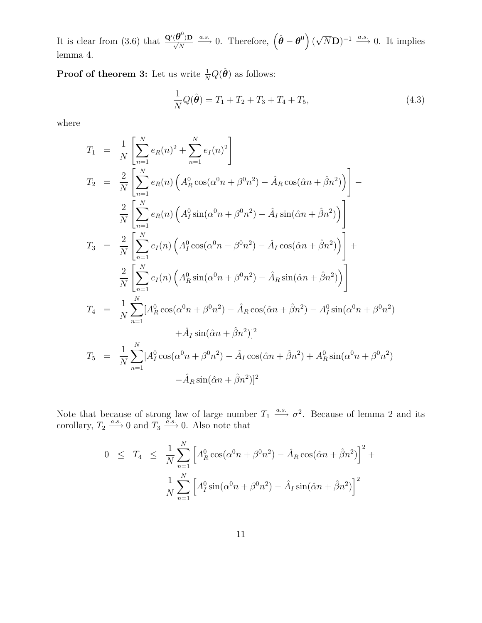It is clear from (3.6) that  $\frac{\mathbf{Q}'(\boldsymbol{\theta}^0)\mathbf{D}}{\sqrt{N}} \xrightarrow{a.s.} 0$ . Therefore,  $(\hat{\boldsymbol{\theta}} - \boldsymbol{\theta}^0) (\sqrt{N}\mathbf{D})^{-1} \xrightarrow{a.s.} 0$ . It implies lemma 4.

**Proof of theorem 3:** Let us write  $\frac{1}{N}Q(\hat{\theta})$  as follows:

$$
\frac{1}{N}Q(\hat{\theta}) = T_1 + T_2 + T_3 + T_4 + T_5,
$$
\n(4.3)

where

$$
T_{1} = \frac{1}{N} \left[ \sum_{n=1}^{N} e_{R}(n)^{2} + \sum_{n=1}^{N} e_{I}(n)^{2} \right]
$$
  
\n
$$
T_{2} = \frac{2}{N} \left[ \sum_{n=1}^{N} e_{R}(n) \left( A_{R}^{0} \cos(\alpha^{0} n + \beta^{0} n^{2}) - \hat{A}_{R} \cos(\hat{\alpha} n + \hat{\beta} n^{2}) \right) \right] -
$$
  
\n
$$
\frac{2}{N} \left[ \sum_{n=1}^{N} e_{R}(n) \left( A_{I}^{0} \sin(\alpha^{0} n + \beta^{0} n^{2}) - \hat{A}_{I} \sin(\hat{\alpha} n + \hat{\beta} n^{2}) \right) \right]
$$
  
\n
$$
T_{3} = \frac{2}{N} \left[ \sum_{n=1}^{N} e_{I}(n) \left( A_{I}^{0} \cos(\alpha^{0} n - \beta^{0} n^{2}) - \hat{A}_{I} \cos(\hat{\alpha} n + \hat{\beta} n^{2}) \right) \right] +
$$
  
\n
$$
\frac{2}{N} \left[ \sum_{n=1}^{N} e_{I}(n) \left( A_{R}^{0} \sin(\alpha^{0} n + \beta^{0} n^{2}) - \hat{A}_{R} \sin(\hat{\alpha} n + \hat{\beta} n^{2}) \right) \right]
$$
  
\n
$$
T_{4} = \frac{1}{N} \sum_{n=1}^{N} [A_{R}^{0} \cos(\alpha^{0} n + \beta^{0} n^{2}) - \hat{A}_{R} \cos(\hat{\alpha} n + \hat{\beta} n^{2}) - A_{I}^{0} \sin(\alpha^{0} n + \beta^{0} n^{2})
$$
  
\n
$$
+ \hat{A}_{I} \sin(\hat{\alpha} n + \hat{\beta} n^{2})]^{2}
$$
  
\n
$$
T_{5} = \frac{1}{N} \sum_{n=1}^{N} [A_{I}^{0} \cos(\alpha^{0} n + \beta^{0} n^{2}) - \hat{A}_{I} \cos(\hat{\alpha} n + \hat{\beta} n^{2}) + A_{R}^{0} \sin(\alpha^{0} n + \beta^{0} n^{2})
$$
  
\n
$$
- \hat{A}_{R} \sin(\hat{\alpha} n + \hat{\beta} n^{2})
$$

Note that because of strong law of large number  $T_1 \xrightarrow{a.s.} \sigma^2$ . Because of lemma 2 and its corollary,  $T_2 \xrightarrow{a.s.} 0$  and  $T_3 \xrightarrow{a.s.} 0$ . Also note that

$$
0 \leq T_4 \leq \frac{1}{N} \sum_{n=1}^{N} \left[ A_R^0 \cos(\alpha^0 n + \beta^0 n^2) - \hat{A}_R \cos(\hat{\alpha} n + \hat{\beta} n^2) \right]^2 +
$$
  

$$
\frac{1}{N} \sum_{n=1}^{N} \left[ A_I^0 \sin(\alpha^0 n + \beta^0 n^2) - \hat{A}_I \sin(\hat{\alpha} n + \hat{\beta} n^2) \right]^2
$$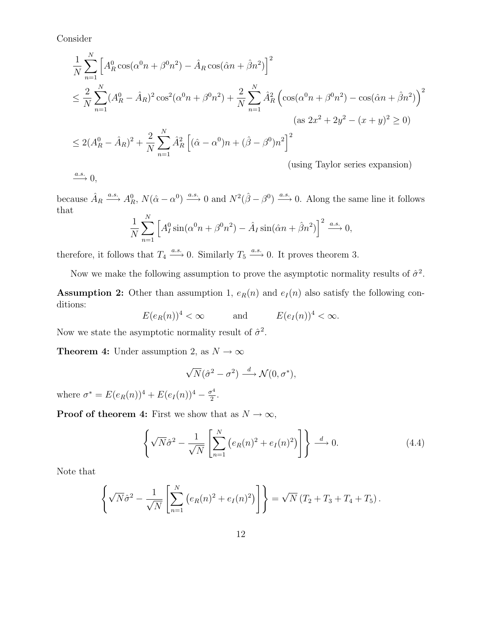Consider

$$
\frac{1}{N} \sum_{n=1}^{N} \left[ A_R^0 \cos(\alpha^0 n + \beta^0 n^2) - \hat{A}_R \cos(\hat{\alpha} n + \hat{\beta} n^2) \right]^2
$$
\n
$$
\leq \frac{2}{N} \sum_{n=1}^{N} (A_R^0 - \hat{A}_R)^2 \cos^2(\alpha^0 n + \beta^0 n^2) + \frac{2}{N} \sum_{n=1}^{N} \hat{A}_R^2 \left( \cos(\alpha^0 n + \beta^0 n^2) - \cos(\hat{\alpha} n + \hat{\beta} n^2) \right)^2
$$
\n
$$
(as 2x^2 + 2y^2 - (x + y)^2 \geq 0)
$$
\n
$$
\leq 2(A_R^0 - \hat{A}_R)^2 + \frac{2}{N} \sum_{n=1}^{N} \hat{A}_R^2 \left[ (\hat{\alpha} - \alpha^0) n + (\hat{\beta} - \beta^0) n^2 \right]^2
$$
\n
$$
\text{(using Taylor series expansion)}
$$

because  $\hat{A}_R \xrightarrow{a.s.} A_R^0$ ,  $N(\hat{\alpha} - \alpha^0) \xrightarrow{a.s.} 0$  and  $N^2(\hat{\beta} - \beta^0) \xrightarrow{a.s.} 0$ . Along the same line it follows that

$$
\frac{1}{N} \sum_{n=1}^{N} \left[ A_I^0 \sin(\alpha^0 n + \beta^0 n^2) - \hat{A}_I \sin(\hat{\alpha} n + \hat{\beta} n^2) \right]^2 \xrightarrow{a.s.} 0,
$$

therefore, it follows that  $T_4 \xrightarrow{a.s.} 0$ . Similarly  $T_5 \xrightarrow{a.s.} 0$ . It proves theorem 3.

Now we make the following assumption to prove the asymptotic normality results of  $\hat{\sigma}^2$ .

**Assumption 2:** Other than assumption 1,  $e_R(n)$  and  $e_I(n)$  also satisfy the following conditions:

$$
E(e_R(n))^4 < \infty
$$
 and  $E(e_I(n))^4 < \infty$ .

Now we state the asymptotic normality result of  $\hat{\sigma}^2$ .

**Theorem 4:** Under assumption 2, as  $N \to \infty$ 

$$
\sqrt{N}(\hat{\sigma}^2 - \sigma^2) \stackrel{d}{\longrightarrow} \mathcal{N}(0, \sigma^*),
$$

where  $\sigma^* = E(e_R(n))^4 + E(e_I(n))^4 - \frac{\sigma^4}{2}$  $rac{\tau^4}{2}$ .

**Proof of theorem 4:** First we show that as  $N \to \infty$ ,

$$
\left\{\sqrt{N}\hat{\sigma}^2 - \frac{1}{\sqrt{N}}\left[\sum_{n=1}^N \left(e_R(n)^2 + e_I(n)^2\right)\right]\right\} \stackrel{d}{\longrightarrow} 0. \tag{4.4}
$$

Note that

$$
\left\{ \sqrt{N} \hat{\sigma}^2 - \frac{1}{\sqrt{N}} \left[ \sum_{n=1}^N \left( e_R(n)^2 + e_I(n)^2 \right) \right] \right\} = \sqrt{N} \left( T_2 + T_3 + T_4 + T_5 \right).
$$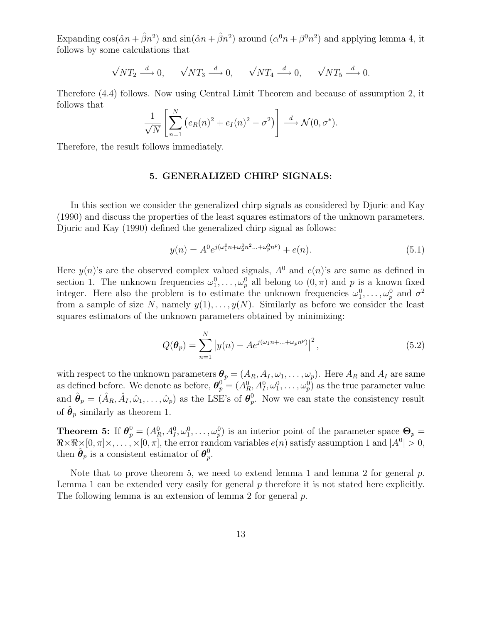Expanding  $\cos(\hat{\alpha}n + \hat{\beta}n^2)$  and  $\sin(\hat{\alpha}n + \hat{\beta}n^2)$  around  $(\alpha^0 n + \beta^0 n^2)$  and applying lemma 4, it follows by some calculations that

$$
\sqrt{N}T_2\stackrel{d}{\longrightarrow}0,\qquad \sqrt{N}T_3\stackrel{d}{\longrightarrow}0,\qquad \sqrt{N}T_4\stackrel{d}{\longrightarrow}0,\qquad \sqrt{N}T_5\stackrel{d}{\longrightarrow}0.
$$

Therefore (4.4) follows. Now using Central Limit Theorem and because of assumption 2, it follows that

$$
\frac{1}{\sqrt{N}}\left[\sum_{n=1}^N\left(e_R(n)^2+e_I(n)^2-\sigma^2\right)\right] \stackrel{d}{\longrightarrow} \mathcal{N}(0,\sigma^*).
$$

Therefore, the result follows immediately.

### 5. GENERALIZED CHIRP SIGNALS:

In this section we consider the generalized chirp signals as considered by Djuric and Kay (1990) and discuss the properties of the least squares estimators of the unknown parameters. Djuric and Kay (1990) defined the generalized chirp signal as follows:

$$
y(n) = A^0 e^{j(\omega_1^0 n + \omega_2^0 n^2 \dots + \omega_p^0 n^p)} + e(n). \tag{5.1}
$$

Here  $y(n)$ 's are the observed complex valued signals,  $A^0$  and  $e(n)$ 's are same as defined in section 1. The unknown frequencies  $\omega_1^0, \ldots, \omega_p^0$  all belong to  $(0, \pi)$  and p is a known fixed integer. Here also the problem is to estimate the unknown frequencies  $\omega_1^0, \ldots, \omega_p^0$  and  $\sigma^2$ from a sample of size N, namely  $y(1), \ldots, y(N)$ . Similarly as before we consider the least squares estimators of the unknown parameters obtained by minimizing:

$$
Q(\theta_p) = \sum_{n=1}^{N} |y(n) - Ae^{j(\omega_1 n + \dots + \omega_p n^p)}|^2,
$$
\n(5.2)

with respect to the unknown parameters  $\theta_p = (A_R, A_I, \omega_1, \dots, \omega_p)$ . Here  $A_R$  and  $A_I$  are same as defined before. We denote as before,  $\theta_p^0 = (A_R^0, A_I^0, \omega_1^0, \dots, \omega_p^0)$  as the true parameter value and  $\hat{\theta}_p = (\hat{A}_R, \hat{A}_I, \hat{\omega}_1, \dots, \hat{\omega}_p)$  as the LSE's of  $\theta_p^0$ . Now we can state the consistency result of  $\hat{\boldsymbol{\theta}}_p$  similarly as theorem 1.

**Theorem 5:** If  $\theta_p^0 = (A_R^0, A_I^0, \omega_1^0, \dots, \omega_p^0)$  is an interior point of the parameter space  $\Theta_p =$  $\Re \times \Re \times [0, \pi] \times, \ldots, \times [0, \pi]$ , the error random variables  $e(n)$  satisfy assumption 1 and  $|A^0| > 0$ , then  $\hat{\boldsymbol{\theta}}_p$  is a consistent estimator of  $\boldsymbol{\theta}_p^0$ .

Note that to prove theorem 5, we need to extend lemma 1 and lemma 2 for general  $p$ . Lemma 1 can be extended very easily for general p therefore it is not stated here explicitly. The following lemma is an extension of lemma 2 for general p.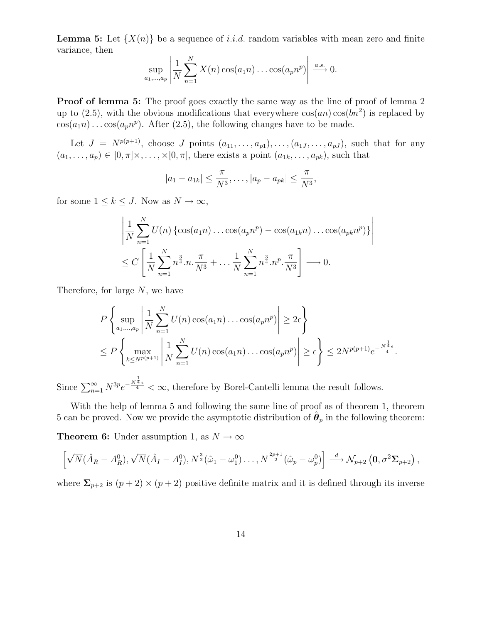**Lemma 5:** Let  $\{X(n)\}\$ be a sequence of *i.i.d.* random variables with mean zero and finite variance, then

$$
\sup_{a_1,\dots,a_p} \left| \frac{1}{N} \sum_{n=1}^N X(n) \cos(a_1 n) \dots \cos(a_p n^p) \right| \xrightarrow{a.s.} 0.
$$

**Proof of lemma 5:** The proof goes exactly the same way as the line of proof of lemma 2 up to  $(2.5)$ , with the obvious modifications that everywhere  $cos(an) cos(bn^2)$  is replaced by  $cos(a_1n)\dots cos(a_pn^p)$ . After (2.5), the following changes have to be made.

Let  $J = N^{p(p+1)}$ , choose J points  $(a_{11}, \ldots, a_{p1}), \ldots, (a_{1J}, \ldots, a_{pJ}),$  such that for any  $(a_1, \ldots, a_p) \in [0, \pi] \times, \ldots, \times [0, \pi]$ , there exists a point  $(a_{1k}, \ldots, a_{pk})$ , such that

$$
|a_1 - a_{1k}| \leq \frac{\pi}{N^3}, \dots, |a_p - a_{pk}| \leq \frac{\pi}{N^3},
$$

for some  $1 \leq k \leq J$ . Now as  $N \to \infty$ ,

$$
\left| \frac{1}{N} \sum_{n=1}^{N} U(n) \left\{ \cos(a_1 n) \dots \cos(a_p n^p) - \cos(a_{1k} n) \dots \cos(a_{pk} n^p) \right\} \right|
$$
  
 
$$
\leq C \left[ \frac{1}{N} \sum_{n=1}^{N} n^{\frac{3}{4}} . n \cdot \frac{\pi}{N^3} + \dots + \frac{1}{N} \sum_{n=1}^{N} n^{\frac{3}{4}} . n^p \cdot \frac{\pi}{N^3} \right] \longrightarrow 0.
$$

Therefore, for large N, we have

$$
P\left\{\sup_{a_1,\dots,a_p} \left|\frac{1}{N}\sum_{n=1}^N U(n)\cos(a_1n)\dots\cos(a_pn^p)\right| \ge 2\epsilon\right\}
$$
  

$$
\le P\left\{\max_{k\le N^{p(p+1)}} \left|\frac{1}{N}\sum_{n=1}^N U(n)\cos(a_1n)\dots\cos(a_pn^p)\right| \ge \epsilon\right\} \le 2N^{p(p+1)}e^{-\frac{N^{\frac{1}{4}}\epsilon}{4}}.
$$

Since  $\sum_{n=1}^{\infty} N^{3p} e^{-\frac{N^{\frac{1}{4}}\epsilon}{4}} < \infty$ , therefore by Borel-Cantelli lemma the result follows.

With the help of lemma 5 and following the same line of proof as of theorem 1, theorem 5 can be proved. Now we provide the asymptotic distribution of  $\hat{\theta}_p$  in the following theorem:

**Theorem 6:** Under assumption 1, as  $N \to \infty$ 

$$
\left[\sqrt{N}(\hat{A}_R-A_R^0),\sqrt{N}(\hat{A}_I-A_I^0),N^{\frac{3}{2}}(\hat{\omega}_1-\omega_1^0)\ldots,N^{\frac{2p+1}{2}}(\hat{\omega}_p-\omega_p^0)\right] \stackrel{d}{\longrightarrow} \mathcal{N}_{p+2}\left(\mathbf{0},\sigma^2\mathbf{\Sigma}_{p+2}\right),
$$

where  $\Sigma_{p+2}$  is  $(p+2) \times (p+2)$  positive definite matrix and it is defined through its inverse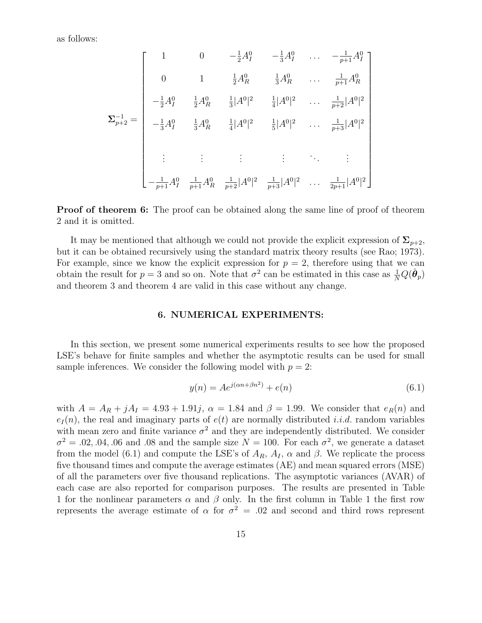as follows:

$$
\Sigma_{p+2}^{-1} = \begin{bmatrix}\n1 & 0 & -\frac{1}{2}A_1^0 & -\frac{1}{3}A_1^0 & \cdots & -\frac{1}{p+1}A_1^0 \\
0 & 1 & \frac{1}{2}A_R^0 & \frac{1}{3}A_R^0 & \cdots & \frac{1}{p+1}A_R^0 \\
-\frac{1}{2}A_1^0 & \frac{1}{2}A_R^0 & \frac{1}{3}|A^0|^2 & \frac{1}{4}|A^0|^2 & \cdots & \frac{1}{p+2}|A^0|^2 \\
-\frac{1}{3}A_1^0 & \frac{1}{3}A_R^0 & \frac{1}{4}|A^0|^2 & \frac{1}{5}|A^0|^2 & \cdots & \frac{1}{p+3}|A^0|^2 \\
\vdots & \vdots & \vdots & \ddots & \vdots \\
-\frac{1}{p+1}A_1^0 & \frac{1}{p+1}A_R^0 & \frac{1}{p+2}|A^0|^2 & \frac{1}{p+3}|A^0|^2 & \cdots & \frac{1}{2p+1}|A^0|^2\n\end{bmatrix}
$$

**Proof of theorem 6:** The proof can be obtained along the same line of proof of theorem 2 and it is omitted.

It may be mentioned that although we could not provide the explicit expression of  $\Sigma_{p+2}$ , but it can be obtained recursively using the standard matrix theory results (see Rao; 1973). For example, since we know the explicit expression for  $p = 2$ , therefore using that we can obtain the result for  $p=3$  and so on. Note that  $\sigma^2$  can be estimated in this case as  $\frac{1}{N}Q(\hat{\theta}_p)$ and theorem 3 and theorem 4 are valid in this case without any change.

### 6. NUMERICAL EXPERIMENTS:

In this section, we present some numerical experiments results to see how the proposed LSE's behave for finite samples and whether the asymptotic results can be used for small sample inferences. We consider the following model with  $p = 2$ :

$$
y(n) = Ae^{j(\alpha n + \beta n^2)} + e(n)
$$
\n(6.1)

with  $A = A_R + jA_I = 4.93 + 1.91j$ ,  $\alpha = 1.84$  and  $\beta = 1.99$ . We consider that  $e_R(n)$  and  $e_I(n)$ , the real and imaginary parts of  $e(t)$  are normally distributed *i.i.d.* random variables with mean zero and finite variance  $\sigma^2$  and they are independently distributed. We consider  $\sigma^2 = 0.02, 0.04, 0.06$  and 0.08 and the sample size  $N = 100$ . For each  $\sigma^2$ , we generate a dataset from the model (6.1) and compute the LSE's of  $A_R$ ,  $A_I$ ,  $\alpha$  and  $\beta$ . We replicate the process five thousand times and compute the average estimates (AE) and mean squared errors (MSE) of all the parameters over five thousand replications. The asymptotic variances (AVAR) of each case are also reported for comparison purposes. The results are presented in Table 1 for the nonlinear parameters  $\alpha$  and  $\beta$  only. In the first column in Table 1 the first row represents the average estimate of  $\alpha$  for  $\sigma^2 = .02$  and second and third rows represent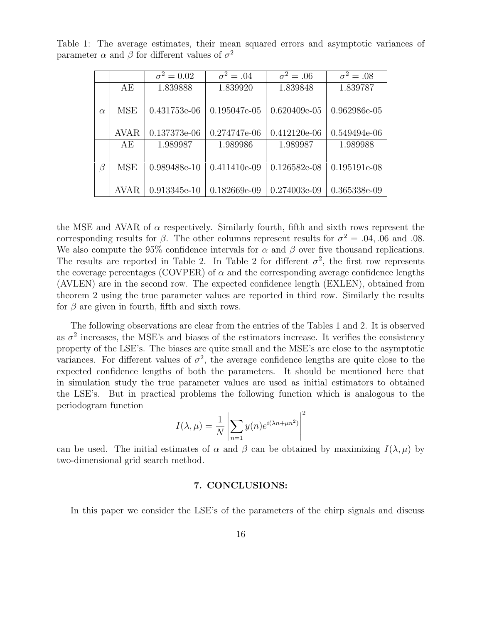|          |             | $\sigma^2 = 0.02$ | $\overline{\sigma}^2 = .04$ | $\overline{\sigma^2} = .06$ | $\overline{\sigma^2} = .08$ |
|----------|-------------|-------------------|-----------------------------|-----------------------------|-----------------------------|
|          | AE          | 1.839888          | 1.839920                    | 1.839848                    | 1.839787                    |
| $\alpha$ | MSE         | 0.431753e-06      | 0.195047e-05                | $0.620409e-05$              | 0.962986e-05                |
|          | <b>AVAR</b> | 0.137373e-06      | 0.274747e-06                | $0.412120e-06$              | 0.549494e-06                |
|          | AE          | 1.989987          | 1.989986                    | 1.989987                    | 1.989988                    |
| $\beta$  | MSE         | 0.989488e-10      | 0.411410e-09                | $0.126582e-08$              | 0.195191e-08                |
|          | <b>AVAR</b> | $0.913345e-10$    | $0.182669e-09$              | 0.274003e-09                | 0.365338e-09                |

Table 1: The average estimates, their mean squared errors and asymptotic variances of parameter  $\alpha$  and  $\beta$  for different values of  $\sigma^2$ 

the MSE and AVAR of  $\alpha$  respectively. Similarly fourth, fifth and sixth rows represent the corresponding results for  $\beta$ . The other columns represent results for  $\sigma^2 = .04, .06$  and 0.08. We also compute the 95% confidence intervals for  $\alpha$  and  $\beta$  over five thousand replications. The results are reported in Table 2. In Table 2 for different  $\sigma^2$ , the first row represents the coverage percentages (COVPER) of  $\alpha$  and the corresponding average confidence lengths (AVLEN) are in the second row. The expected confidence length (EXLEN), obtained from theorem 2 using the true parameter values are reported in third row. Similarly the results for  $\beta$  are given in fourth, fifth and sixth rows.

The following observations are clear from the entries of the Tables 1 and 2. It is observed as  $\sigma^2$  increases, the MSE's and biases of the estimators increase. It verifies the consistency property of the LSE's. The biases are quite small and the MSE's are close to the asymptotic variances. For different values of  $\sigma^2$ , the average confidence lengths are quite close to the expected confidence lengths of both the parameters. It should be mentioned here that in simulation study the true parameter values are used as initial estimators to obtained the LSE's. But in practical problems the following function which is analogous to the periodogram function

$$
I(\lambda, \mu) = \frac{1}{N} \left| \sum_{n=1} y(n) e^{i(\lambda n + \mu n^2)} \right|^2
$$

can be used. The initial estimates of  $\alpha$  and  $\beta$  can be obtained by maximizing  $I(\lambda, \mu)$  by two-dimensional grid search method.

### 7. CONCLUSIONS:

In this paper we consider the LSE's of the parameters of the chirp signals and discuss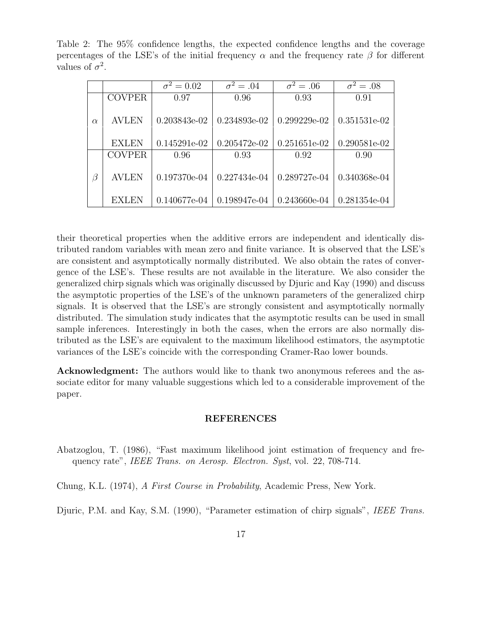Table 2: The 95% confidence lengths, the expected confidence lengths and the coverage percentages of the LSE's of the initial frequency  $\alpha$  and the frequency rate  $\beta$  for different values of  $\sigma^2$ .

|          |               | $\overline{\sigma^2} = 0.02$ | $\overline{\sigma^2} = .04$ | $\overline{\sigma^2} = .06$ | $\overline{\sigma^2} = .08$ |
|----------|---------------|------------------------------|-----------------------------|-----------------------------|-----------------------------|
|          | <b>COVPER</b> | 0.97                         | 0.96                        | 0.93                        | 0.91                        |
| $\alpha$ | <b>AVLEN</b>  | $0.203843e-02$               | 0.234893e-02                | $0.299229e-02$              | 0.351531e-02                |
|          | <b>EXLEN</b>  | $0.145291e-02$               | $0.205472e-02$              | 0.251651e-02                | 0.290581e-02                |
|          | <b>COVPER</b> | 0.96                         | 0.93                        | 0.92                        | 0.90                        |
| $\beta$  | <b>AVLEN</b>  | $0.197370e-04$               | 0.227434e-04                | 0.289727e-04                | 0.340368e-04                |
|          | <b>EXLEN</b>  | 0.140677e-04                 | 0.198947e-04                | 0.243660e-04                | 0.281354e-04                |

their theoretical properties when the additive errors are independent and identically distributed random variables with mean zero and finite variance. It is observed that the LSE's are consistent and asymptotically normally distributed. We also obtain the rates of convergence of the LSE's. These results are not available in the literature. We also consider the generalized chirp signals which was originally discussed by Djuric and Kay (1990) and discuss the asymptotic properties of the LSE's of the unknown parameters of the generalized chirp signals. It is observed that the LSE's are strongly consistent and asymptotically normally distributed. The simulation study indicates that the asymptotic results can be used in small sample inferences. Interestingly in both the cases, when the errors are also normally distributed as the LSE's are equivalent to the maximum likelihood estimators, the asymptotic variances of the LSE's coincide with the corresponding Cramer-Rao lower bounds.

Acknowledgment: The authors would like to thank two anonymous referees and the associate editor for many valuable suggestions which led to a considerable improvement of the paper.

#### REFERENCES

Abatzoglou, T. (1986), "Fast maximum likelihood joint estimation of frequency and frequency rate", IEEE Trans. on Aerosp. Electron. Syst, vol. 22, 708-714.

Chung, K.L. (1974), A First Course in Probability, Academic Press, New York.

Djuric, P.M. and Kay, S.M. (1990), "Parameter estimation of chirp signals", *IEEE Trans.*